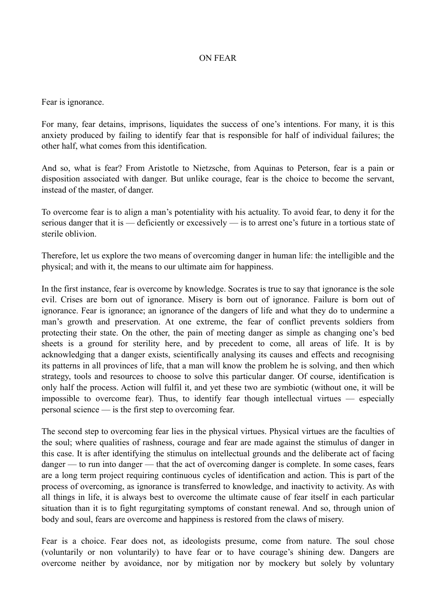## ON FEAR

Fear is ignorance.

For many, fear detains, imprisons, liquidates the success of one's intentions. For many, it is this anxiety produced by failing to identify fear that is responsible for half of individual failures; the other half, what comes from this identification.

And so, what is fear? From Aristotle to Nietzsche, from Aquinas to Peterson, fear is a pain or disposition associated with danger. But unlike courage, fear is the choice to become the servant, instead of the master, of danger.

To overcome fear is to align a man's potentiality with his actuality. To avoid fear, to deny it for the serious danger that it is — deficiently or excessively — is to arrest one's future in a tortious state of sterile oblivion.

Therefore, let us explore the two means of overcoming danger in human life: the intelligible and the physical; and with it, the means to our ultimate aim for happiness.

In the first instance, fear is overcome by knowledge. Socrates is true to say that ignorance is the sole evil. Crises are born out of ignorance. Misery is born out of ignorance. Failure is born out of ignorance. Fear is ignorance; an ignorance of the dangers of life and what they do to undermine a man's growth and preservation. At one extreme, the fear of conflict prevents soldiers from protecting their state. On the other, the pain of meeting danger as simple as changing one's bed sheets is a ground for sterility here, and by precedent to come, all areas of life. It is by acknowledging that a danger exists, scientifically analysing its causes and effects and recognising its patterns in all provinces of life, that a man will know the problem he is solving, and then which strategy, tools and resources to choose to solve this particular danger. Of course, identification is only half the process. Action will fulfil it, and yet these two are symbiotic (without one, it will be impossible to overcome fear). Thus, to identify fear though intellectual virtues — especially personal science — is the first step to overcoming fear.

The second step to overcoming fear lies in the physical virtues. Physical virtues are the faculties of the soul; where qualities of rashness, courage and fear are made against the stimulus of danger in this case. It is after identifying the stimulus on intellectual grounds and the deliberate act of facing danger — to run into danger — that the act of overcoming danger is complete. In some cases, fears are a long term project requiring continuous cycles of identification and action. This is part of the process of overcoming, as ignorance is transferred to knowledge, and inactivity to activity. As with all things in life, it is always best to overcome the ultimate cause of fear itself in each particular situation than it is to fight regurgitating symptoms of constant renewal. And so, through union of body and soul, fears are overcome and happiness is restored from the claws of misery.

Fear is a choice. Fear does not, as ideologists presume, come from nature. The soul chose (voluntarily or non voluntarily) to have fear or to have courage's shining dew. Dangers are overcome neither by avoidance, nor by mitigation nor by mockery but solely by voluntary